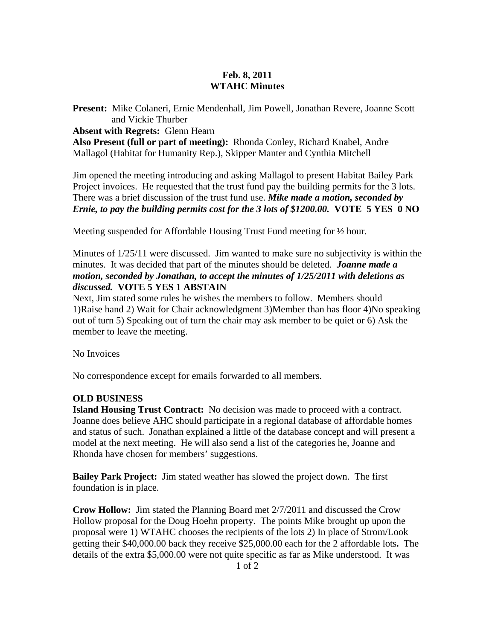## **Feb. 8, 2011 WTAHC Minutes**

**Present:** Mike Colaneri, Ernie Mendenhall, Jim Powell, Jonathan Revere, Joanne Scott and Vickie Thurber

**Absent with Regrets:** Glenn Hearn

**Also Present (full or part of meeting):** Rhonda Conley, Richard Knabel, Andre Mallagol (Habitat for Humanity Rep.), Skipper Manter and Cynthia Mitchell

Jim opened the meeting introducing and asking Mallagol to present Habitat Bailey Park Project invoices. He requested that the trust fund pay the building permits for the 3 lots. There was a brief discussion of the trust fund use. *Mike made a motion, seconded by Ernie, to pay the building permits cost for the 3 lots of \$1200.00.* **VOTE 5 YES 0 NO** 

Meeting suspended for Affordable Housing Trust Fund meeting for ½ hour.

Minutes of  $1/25/11$  were discussed. Jim wanted to make sure no subjectivity is within the minutes. It was decided that part of the minutes should be deleted. *Joanne made a motion, seconded by Jonathan, to accept the minutes of 1/25/2011 with deletions as discussed.* **VOTE 5 YES 1 ABSTAIN** 

Next, Jim stated some rules he wishes the members to follow. Members should 1)Raise hand 2) Wait for Chair acknowledgment 3)Member than has floor 4)No speaking out of turn 5) Speaking out of turn the chair may ask member to be quiet or 6) Ask the member to leave the meeting.

No Invoices

No correspondence except for emails forwarded to all members.

## **OLD BUSINESS**

**Island Housing Trust Contract:** No decision was made to proceed with a contract. Joanne does believe AHC should participate in a regional database of affordable homes and status of such. Jonathan explained a little of the database concept and will present a model at the next meeting. He will also send a list of the categories he, Joanne and Rhonda have chosen for members' suggestions.

**Bailey Park Project:** Jim stated weather has slowed the project down. The first foundation is in place.

**Crow Hollow:** Jim stated the Planning Board met 2/7/2011 and discussed the Crow Hollow proposal for the Doug Hoehn property. The points Mike brought up upon the proposal were 1) WTAHC chooses the recipients of the lots 2) In place of Strom/Look getting their \$40,000.00 back they receive \$25,000.00 each for the 2 affordable lots**.** The details of the extra \$5,000.00 were not quite specific as far as Mike understood. It was